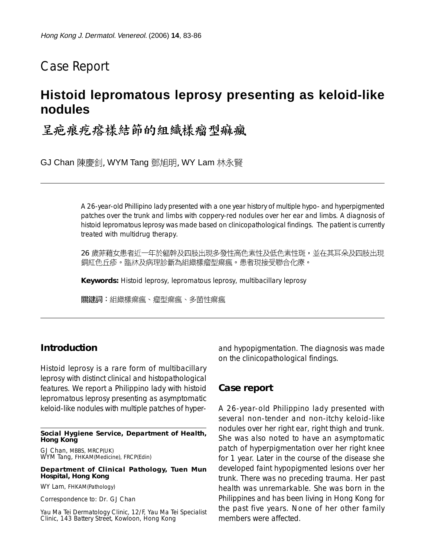# Case Report

# **Histoid lepromatous leprosy presenting as keloid-like nodules**

呈疤痕疙瘩樣結節的組織樣瘤型痲瘋

GJ Chan 陳慶釗, WYM Tang 鄧旭明, WY Lam 林永賢

A 26-year-old Phillipino lady presented with a one year history of multiple hypo- and hyperpigmented patches over the trunk and limbs with coppery-red nodules over her ear and limbs. A diagnosis of histoid lepromatous leprosy was made based on clinicopathological findings. The patient is currently treated with multidrug therapy.

26 歲菲藉女患者近一年於軀幹及四肢出現多發性高色素性及低色素性斑,並在其耳朵及四肢出現 銅紅色丘疹。臨牀及病理診斷為組織樣瘤型痲瘋。患者現接受聯合化療。

**Keywords:** Histoid leprosy, lepromatous leprosy, multibacillary leprosy

關鍵詞:組織樣痲瘋、瘤型痲瘋、多菌性痲瘋

## **Introduction**

Histoid leprosy is a rare form of multibacillary leprosy with distinct clinical and histopathological features. We report a Philippino lady with histoid lepromatous leprosy presenting as asymptomatic keloid-like nodules with multiple patches of hyper-

**Social Hygiene Service, Department of Health, Hong Kong**

GJ Chan, MBBS, MRCP(UK) WYM Tang, FHKAM(Medicine), FRCP(Edin)

#### **Department of Clinical Pathology, Tuen Mun Hospital, Hong Kong**

WY Lam, FHKAM(Pathology)

Correspondence to: Dr. GJ Chan

Yau Ma Tei Dermatology Clinic, 12/F, Yau Ma Tei Specialist Clinic, 143 Battery Street, Kowloon, Hong Kong

and hypopigmentation. The diagnosis was made on the clinicopathological findings.

### **Case report**

A 26-year-old Philippino lady presented with several non-tender and non-itchy keloid-like nodules over her right ear, right thigh and trunk. She was also noted to have an asymptomatic patch of hyperpigmentation over her right knee for 1 year. Later in the course of the disease she developed faint hypopigmented lesions over her trunk. There was no preceding trauma. Her past health was unremarkable. She was born in the Philippines and has been living in Hong Kong for the past five years. None of her other family members were affected.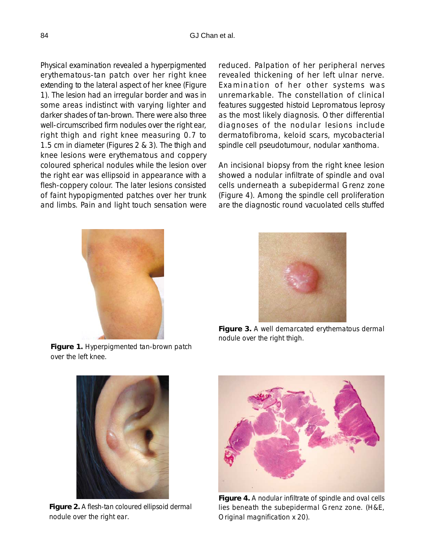Physical examination revealed a hyperpigmented erythematous-tan patch over her right knee extending to the lateral aspect of her knee (Figure 1). The lesion had an irregular border and was in some areas indistinct with varying lighter and darker shades of tan-brown. There were also three well-circumscribed firm nodules over the right ear, right thigh and right knee measuring 0.7 to 1.5 cm in diameter (Figures 2 & 3). The thigh and knee lesions were erythematous and coppery coloured spherical nodules while the lesion over the right ear was ellipsoid in appearance with a flesh-coppery colour. The later lesions consisted of faint hypopigmented patches over her trunk and limbs. Pain and light touch sensation were

reduced. Palpation of her peripheral nerves revealed thickening of her left ulnar nerve. Examination of her other systems was unremarkable. The constellation of clinical features suggested histoid Lepromatous leprosy as the most likely diagnosis. Other differential diagnoses of the nodular lesions include dermatofibroma, keloid scars, mycobacterial spindle cell pseudotumour, nodular xanthoma.

An incisional biopsy from the right knee lesion showed a nodular infiltrate of spindle and oval cells underneath a subepidermal Grenz zone (Figure 4). Among the spindle cell proliferation are the diagnostic round vacuolated cells stuffed



**Figure 1.** Hyperpigmented tan-brown patch over the left knee.



**Figure 3.** A well demarcated erythematous dermal nodule over the right thigh.



**Figure 2.** A flesh-tan coloured ellipsoid dermal nodule over the right ear.



**Figure 4.** A nodular infiltrate of spindle and oval cells lies beneath the subepidermal Grenz zone. (H&E, Original magnification x 20).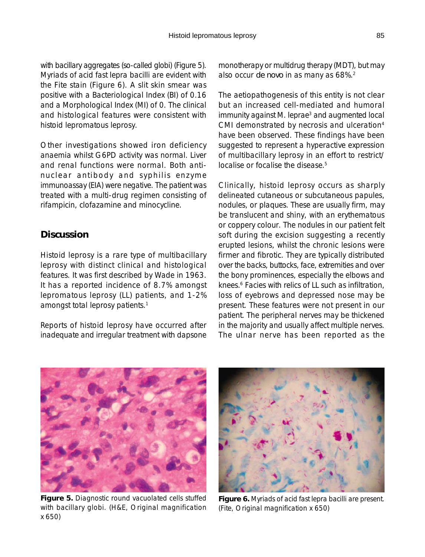with bacillary aggregates (so-called globi) (Figure 5). Myriads of acid fast lepra bacilli are evident with the Fite stain (Figure 6). A slit skin smear was positive with a Bacteriological Index (BI) of 0.16 and a Morphological Index (MI) of 0. The clinical and histological features were consistent with histoid lepromatous leprosy.

Other investigations showed iron deficiency anaemia whilst G6PD activity was normal. Liver and renal functions were normal. Both antinuclear antibody and syphilis enzyme immunoassay (EIA) were negative. The patient was treated with a multi-drug regimen consisting of rifampicin, clofazamine and minocycline.

## **Discussion**

Histoid leprosy is a rare type of multibacillary leprosy with distinct clinical and histological features. It was first described by Wade in 1963. It has a reported incidence of 8.7% amongst lepromatous leprosy (LL) patients, and 1-2% amongst total leprosy patients.<sup>1</sup>

Reports of histoid leprosy have occurred after inadequate and irregular treatment with dapsone monotherapy or multidrug therapy (MDT), but may also occur *de novo* in as many as 68%.2

The aetiopathogenesis of this entity is not clear but an increased cell-mediated and humoral immunity against M. leprae<sup>3</sup> and augmented local CMI demonstrated by necrosis and ulceration<sup>4</sup> have been observed. These findings have been suggested to represent a hyperactive expression of multibacillary leprosy in an effort to restrict/ localise or focalise the disease.<sup>5</sup>

Clinically, histoid leprosy occurs as sharply delineated cutaneous or subcutaneous papules, nodules, or plaques. These are usually firm, may be translucent and shiny, with an erythematous or coppery colour. The nodules in our patient felt soft during the excision suggesting a recently erupted lesions, whilst the chronic lesions were firmer and fibrotic. They are typically distributed over the backs, buttocks, face, extremities and over the bony prominences, especially the elbows and knees.<sup>6</sup> Facies with relics of LL such as infiltration, loss of eyebrows and depressed nose may be present. These features were not present in our patient. The peripheral nerves may be thickened in the majority and usually affect multiple nerves. The ulnar nerve has been reported as the



**Figure 5.** Diagnostic round vacuolated cells stuffed with bacillary globi. (H&E, Original magnification x 650)



**Figure 6.** Myriads of acid fast lepra bacilli are present. (Fite, Original magnification x 650)